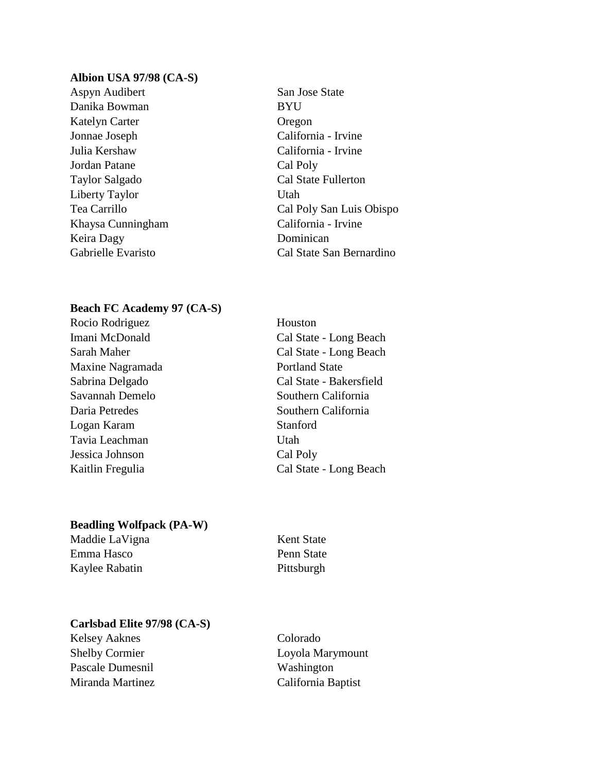#### **Albion USA 97/98 (CA-S)**

Aspyn Audibert San Jose State Danika Bowman BYU Katelyn Carter **Oregon** Jonnae Joseph California - Irvine Julia Kershaw California - Irvine Jordan Patane Cal Poly Taylor Salgado Cal State Fullerton Liberty Taylor Utah Khaysa Cunningham California - Irvine Keira Dagy Dominican

Tea Carrillo Cal Poly San Luis Obispo Gabrielle Evaristo Cal State San Bernardino

#### **Beach FC Academy 97 (CA-S)**

Rocio Rodriguez Houston Imani McDonald Cal State - Long Beach Maxine Nagramada Portland State Savannah Demelo Southern California Daria Petredes Southern California Logan Karam Stanford Tavia Leachman Utah Jessica Johnson Cal Poly

# Sarah Maher Cal State - Long Beach Sabrina Delgado Cal State - Bakersfield Kaitlin Fregulia Cal State - Long Beach

# **Beadling Wolfpack (PA-W)**

Maddie LaVigna Kent State Emma Hasco Penn State Kaylee Rabatin Pittsburgh

# **Carlsbad Elite 97/98 (CA-S)**

Kelsey Aaknes Colorado Pascale Dumesnil Washington Miranda Martinez California Baptist

Shelby Cormier Loyola Marymount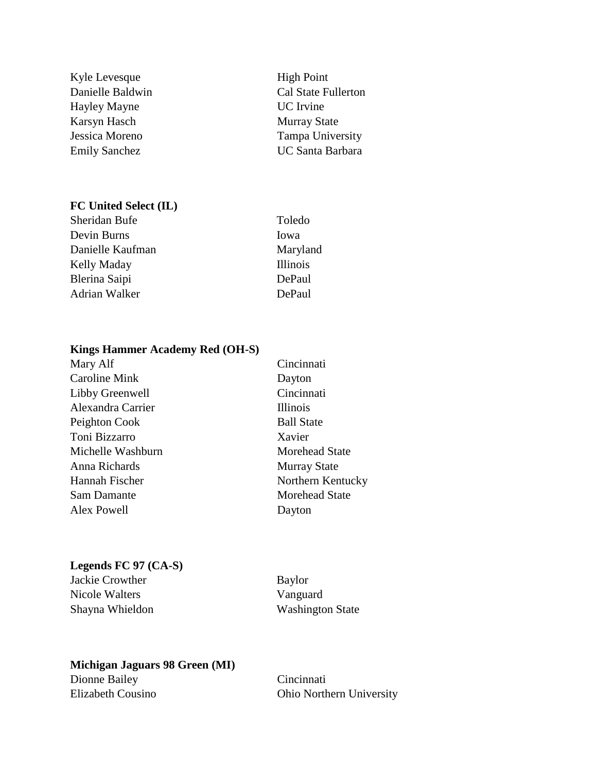Kyle Levesque High Point Hayley Mayne UC Irvine Karsyn Hasch Murray State

### **FC United Select (IL)**

Sheridan Bufe Toledo Devin Burns Iowa Danielle Kaufman Maryland Kelly Maday **Illinois** Blerina Saipi DePaul Adrian Walker DePaul

Danielle Baldwin Cal State Fullerton Jessica Moreno Tampa University Emily Sanchez UC Santa Barbara

#### **Kings Hammer Academy Red (OH-S)**

| Mary Alf             | Cincinnati            |
|----------------------|-----------------------|
| <b>Caroline Mink</b> | Dayton                |
| Libby Greenwell      | Cincinnati            |
| Alexandra Carrier    | <b>Illinois</b>       |
| Peighton Cook        | <b>Ball State</b>     |
| Toni Bizzarro        | Xavier                |
| Michelle Washburn    | <b>Morehead State</b> |
| Anna Richards        | <b>Murray State</b>   |
| Hannah Fischer       | Northern Kentucky     |
| <b>Sam Damante</b>   | <b>Morehead State</b> |
| Alex Powell          | Dayton                |
|                      |                       |

#### **Legends FC 97 (CA-S)**

Jackie Crowther Baylor Nicole Walters Vanguard Shayna Whieldon Washington State

# **Michigan Jaguars 98 Green (MI)**

Dionne Bailey Cincinnati

Elizabeth Cousino Ohio Northern University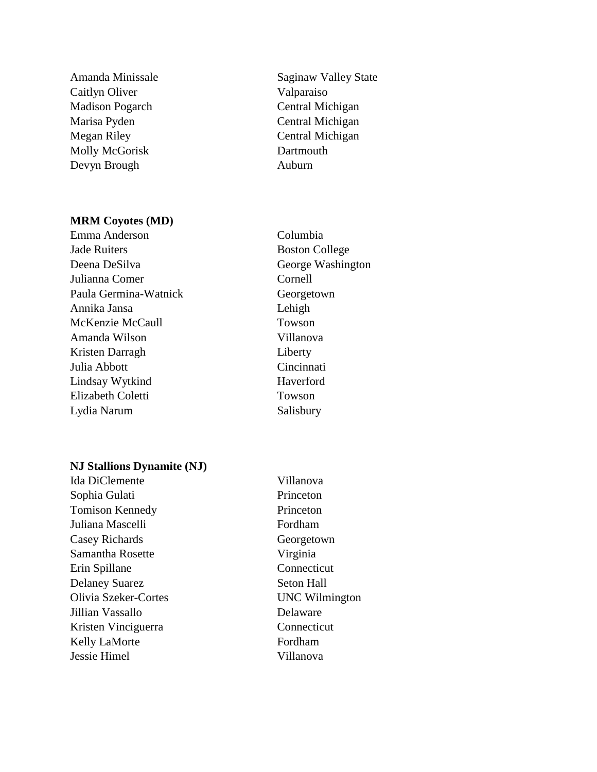Caitlyn Oliver Valparaiso Madison Pogarch Central Michigan Marisa Pyden Central Michigan Megan Riley Central Michigan Molly McGorisk Dartmouth Devyn Brough Auburn

#### **MRM Coyotes (MD)**

Emma Anderson Columbia **Jade Ruiters Boston College** Deena DeSilva George Washington Julianna Comer Cornell Paula Germina-Watnick Georgetown Annika Jansa Lehigh McKenzie McCaull Towson Amanda Wilson Villanova Kristen Darragh Liberty Julia Abbott Cincinnati Lindsay Wytkind Haverford Elizabeth Coletti Towson Lydia Narum Salisbury

Amanda Minissale Saginaw Valley State

#### **NJ Stallions Dynamite (NJ)**

Ida DiClemente Villanova Sophia Gulati Princeton Tomison Kennedy Princeton Juliana Mascelli Fordham Casey Richards Georgetown Samantha Rosette Virginia Erin Spillane Connecticut Delaney Suarez Seton Hall Olivia Szeker-Cortes UNC Wilmington Jillian Vassallo Delaware Kristen Vinciguerra Connecticut Kelly LaMorte Fordham Jessie Himel Villanova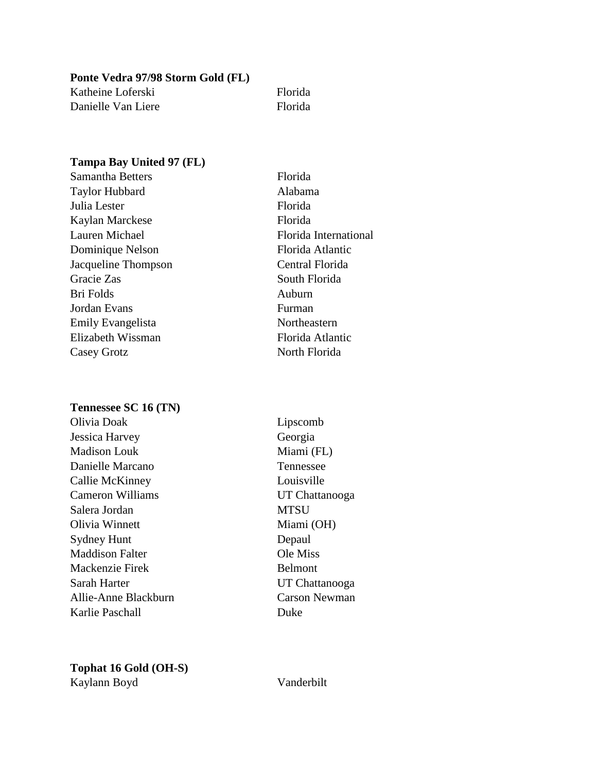**Ponte Vedra 97/98 Storm Gold (FL)** Katheine Loferski Florida Danielle Van Liere Florida

# **Tampa Bay United 97 (FL)**

| <b>Samantha Betters</b> | Florida               |
|-------------------------|-----------------------|
| <b>Taylor Hubbard</b>   | Alabama               |
| Julia Lester            | Florida               |
| Kaylan Marckese         | Florida               |
| Lauren Michael          | Florida International |
| Dominique Nelson        | Florida Atlantic      |
| Jacqueline Thompson     | Central Florida       |
| Gracie Zas              | South Florida         |
| <b>Bri Folds</b>        | Auburn                |
| Jordan Evans            | Furman                |
| Emily Evangelista       | Northeastern          |
| Elizabeth Wissman       | Florida Atlantic      |
| Casey Grotz             | North Florida         |

#### **Tennessee SC 16 (TN)**

Olivia Doak Lipscomb Jessica Harvey Georgia Madison Louk Miami (FL) Danielle Marcano Tennessee Callie McKinney Louisville Cameron Williams UT Chattanooga Salera Jordan MTSU Olivia Winnett Miami (OH) Sydney Hunt Depaul Maddison Falter **Ole Miss** Mackenzie Firek Belmont Sarah Harter UT Chattanooga Allie-Anne Blackburn Carson Newman Karlie Paschall Duke

# **Tophat 16 Gold (OH-S)** Kaylann Boyd Vanderbilt